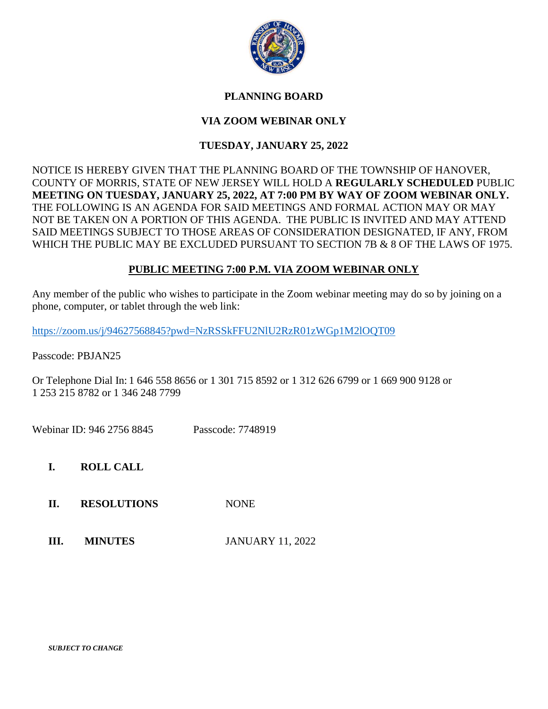

## **PLANNING BOARD**

# **VIA ZOOM WEBINAR ONLY**

## **TUESDAY, JANUARY 25, 2022**

NOTICE IS HEREBY GIVEN THAT THE PLANNING BOARD OF THE TOWNSHIP OF HANOVER, COUNTY OF MORRIS, STATE OF NEW JERSEY WILL HOLD A **REGULARLY SCHEDULED** PUBLIC **MEETING ON TUESDAY, JANUARY 25, 2022, AT 7:00 PM BY WAY OF ZOOM WEBINAR ONLY.**  THE FOLLOWING IS AN AGENDA FOR SAID MEETINGS AND FORMAL ACTION MAY OR MAY NOT BE TAKEN ON A PORTION OF THIS AGENDA. THE PUBLIC IS INVITED AND MAY ATTEND SAID MEETINGS SUBJECT TO THOSE AREAS OF CONSIDERATION DESIGNATED, IF ANY, FROM WHICH THE PUBLIC MAY BE EXCLUDED PURSUANT TO SECTION 7B & 8 OF THE LAWS OF 1975.

### **PUBLIC MEETING 7:00 P.M. VIA ZOOM WEBINAR ONLY**

Any member of the public who wishes to participate in the Zoom webinar meeting may do so by joining on a phone, computer, or tablet through the web link:

<https://zoom.us/j/94627568845?pwd=NzRSSkFFU2NlU2RzR01zWGp1M2lOQT09>

Passcode: PBJAN25

Or Telephone Dial In: 1 646 558 8656 or 1 301 715 8592 or 1 312 626 6799 or 1 669 900 9128 or 1 253 215 8782 or 1 346 248 7799

Webinar ID: 946 2756 8845 Passcode: 7748919

**I. ROLL CALL**

- **II. RESOLUTIONS** NONE
- **III. MINUTES** JANUARY 11, 2022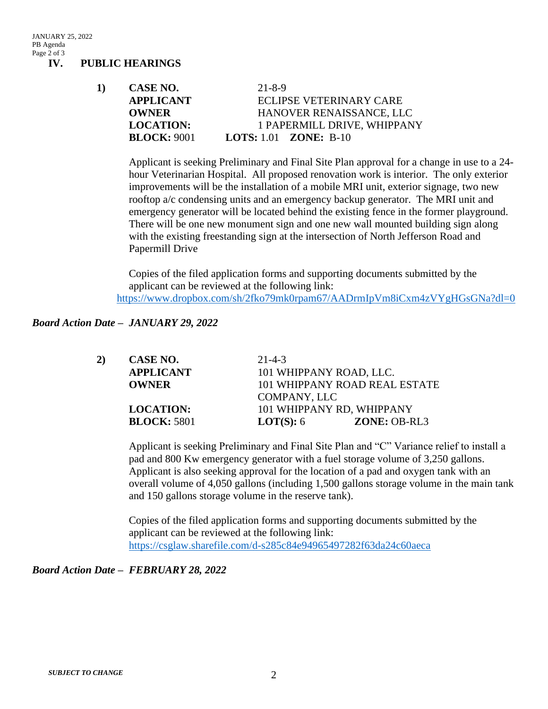JANUARY 25, 2022 PB Agenda Page 2 of 3

**IV. PUBLIC HEARINGS**

**1) CASE NO.** 21-8-9 **APPLICANT** ECLIPSE VETERINARY CARE **OWNER HANOVER RENAISSANCE, LLC LOCATION:** 1 PAPERMILL DRIVE, WHIPPANY **BLOCK:** 9001 **LOTS:** 1.01 **ZONE:** B-10

Applicant is seeking Preliminary and Final Site Plan approval for a change in use to a 24 hour Veterinarian Hospital. All proposed renovation work is interior. The only exterior improvements will be the installation of a mobile MRI unit, exterior signage, two new rooftop a/c condensing units and an emergency backup generator. The MRI unit and emergency generator will be located behind the existing fence in the former playground. There will be one new monument sign and one new wall mounted building sign along with the existing freestanding sign at the intersection of North Jefferson Road and Papermill Drive

Copies of the filed application forms and supporting documents submitted by the applicant can be reviewed at the following link: <https://www.dropbox.com/sh/2fko79mk0rpam67/AADrmIpVm8iCxm4zVYgHGsGNa?dl=0>

### *Board Action Date – JANUARY 29, 2022*

| 2) | CASE NO.           | $21 - 4 - 3$                  |                |
|----|--------------------|-------------------------------|----------------|
|    | <b>APPLICANT</b>   | 101 WHIPPANY ROAD, LLC.       |                |
|    | <b>OWNER</b>       | 101 WHIPPANY ROAD REAL ESTATE |                |
|    | COMPANY, LLC       |                               |                |
|    | <b>LOCATION:</b>   | 101 WHIPPANY RD, WHIPPANY     |                |
|    | <b>BLOCK: 5801</b> | <b>LOT(S):</b> $6$            | $ZONE: OB-RL3$ |

Applicant is seeking Preliminary and Final Site Plan and "C" Variance relief to install a pad and 800 Kw emergency generator with a fuel storage volume of 3,250 gallons. Applicant is also seeking approval for the location of a pad and oxygen tank with an overall volume of 4,050 gallons (including 1,500 gallons storage volume in the main tank and 150 gallons storage volume in the reserve tank).

Copies of the filed application forms and supporting documents submitted by the applicant can be reviewed at the following link: <https://csglaw.sharefile.com/d-s285c84e94965497282f63da24c60aeca>

#### *Board Action Date – FEBRUARY 28, 2022*